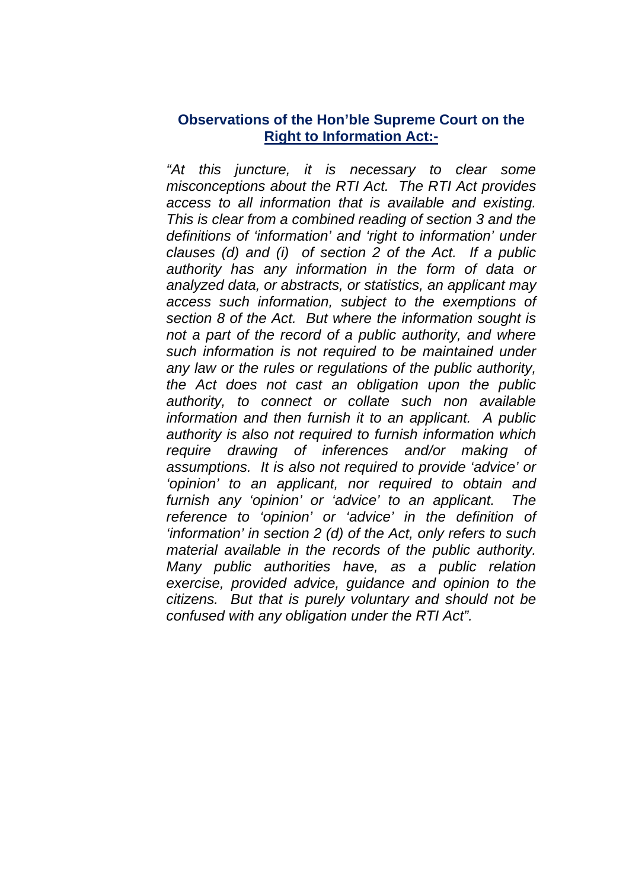## **Observations of the Hon'ble Supreme Court on the Right to Information Act:-**

*"At this juncture, it is necessary to clear some misconceptions about the RTI Act. The RTI Act provides access to all information that is available and existing. This is clear from a combined reading of section 3 and the definitions of 'information' and 'right to information' under clauses (d) and (i) of section 2 of the Act. If a public authority has any information in the form of data or analyzed data, or abstracts, or statistics, an applicant may access such information, subject to the exemptions of section 8 of the Act. But where the information sought is not a part of the record of a public authority, and where such information is not required to be maintained under any law or the rules or regulations of the public authority, the Act does not cast an obligation upon the public authority, to connect or collate such non available information and then furnish it to an applicant. A public authority is also not required to furnish information which require drawing of inferences and/or making of assumptions. It is also not required to provide 'advice' or 'opinion' to an applicant, nor required to obtain and furnish any 'opinion' or 'advice' to an applicant. The reference to 'opinion' or 'advice' in the definition of 'information' in section 2 (d) of the Act, only refers to such material available in the records of the public authority. Many public authorities have, as a public relation exercise, provided advice, guidance and opinion to the citizens. But that is purely voluntary and should not be confused with any obligation under the RTI Act".*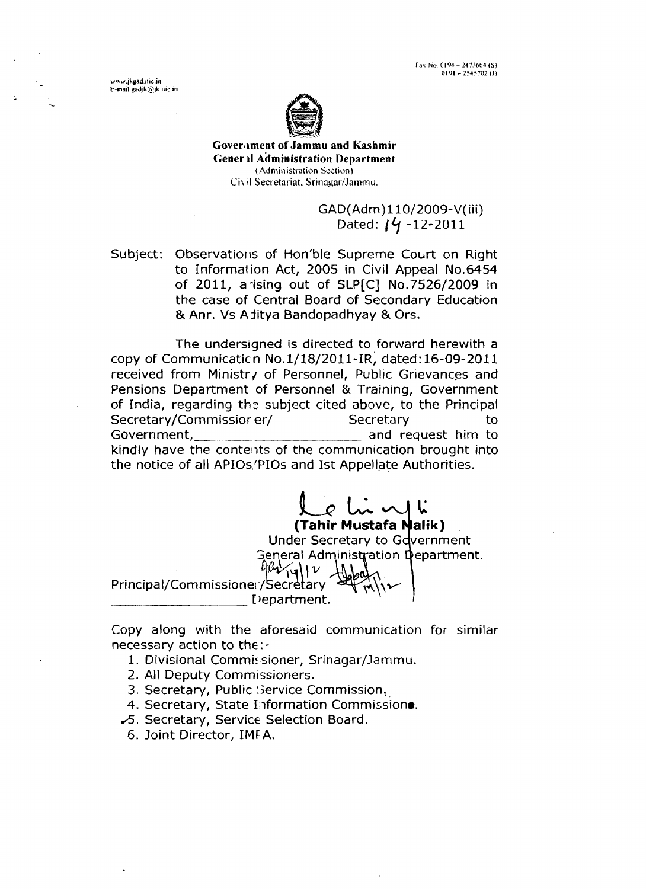Fax No. 0194 - 2473664 (S)  $0191 - 2545702$  (J)

www.ikgad.nic.in E-mail gadjk@jk.nic.in



**Goverllment of Jammu and Kashmir Gener il Administration Department (Administ~.atio~i Section)**   $Civ$ <sup>11</sup> Secretariat, Srinagar/Jammu.

> GAD(Adm)110/2009-V(iii) Dated: *14* -12-2011

Subject: Observations of Hon'ble Supreme Court on Right to Informal ion Act, 2005 in Civil Appeal No.6454 of 2011, a-ising out of SLP[C] No.7526/2009 in the case of Central Board of Secondary Education & Anr. Vs Ajitya Bandopadhyay & Ors.

The undersigned is directed to forward herewith a copy of Communicatic n No. 1/18/2011-IR, dated: 16-09-201 1 received from Ministry of Personnel, Public Grievances and Pensions Department of Personnel & Training, Government of India, regarding the subject cited above, to the Principal Secretary/Commissior er/ Secretary to Government, and request him to kindly have the contents of the communication brought into the notice of all APIOs,'PIOs and 1st Appellate Authorities.

 $\rho$  ln vlk **(Tahir Mustafa Nalik)** Under Secretary to G **General Administration Department.**  $401\mathcal{V}$ Principal/Commissioner/Secretary Department.

Copy along with the aforesaid communication for similar necessary action to the:-

- 1. Divisional Commissioner, Srinagar/Jammu.
- 2. All Deputy Commissioners.
- 3. Secretary, Public Service Commission,

4. Secretary, State Information Commissione.

- **2.** Secretary, Service Selection Board.
- 6. Joint Director, **IMF** A.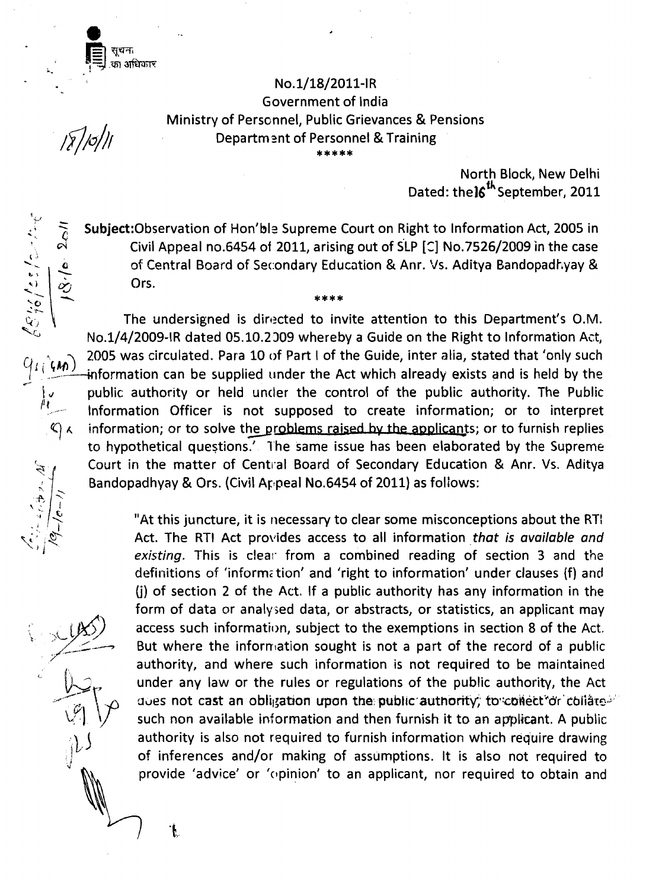सूचन, -- -- **GI 3lfih-R** 

> No. 1/18/2011-IR Government of India Ministry of Personnel, Public Grievances & Pensions Department of Personnel & Training

 $\sqrt{2}/\sigma$ //

(51,1 /25 / 2 .<sup>1</sup>

 $q_l$  ( $m$ )

'L **.(** 

 $\ddot{\mathfrak{h}}$ 

North Block, New Delhi Dated: the 16<sup>th</sup> September, 2011

Subject:Observation of Hon'ble Supreme Court on Right to lnformation Act, 2005 in  $\sim$   $\alpha$  Civil Appeal no.6454 of 2011, arising out of SLP [C] No.7526/2009 in the case **L. 2005 CINCERS SUBJECT:**<br>Civil Appeal no.6454 of 2011, arising out of SLP [C] No.7526/2009 in the case<br>of Central Board of Secondary Education & Anr. Vs. Aditya Bandopadhyay &<br>Ors. Ors. Subject:Observation of Hon'ble Supreme Court on Right to Information Act, 2005 in<br>Civil Appeal no.6454 of 2011, arising out of SLP [C] No.7526/2009 in the case<br>of Central Board of Secondary Education & Anr. Vs. Aditya Band

No.1/4/2009-IR dated 05.10.2009 whereby a Guide on the Right to Information Act, 2005 was circulated. Para 10 of Part I of the Guide, inter alia, stated that 'only such information can be supplied under the Act which already exists and is held by the  $1.$  public authority or held under the control of the public authority. The Public  $1.$  the multiple public strain information: or to interpret **<sup>1</sup>'1** ,, Information Officer is not supposed to create information; or to interpret  $C_1 \wedge$  information; or to solve the problems raised by the applicants; or to furnish replies<br>to hypothetical questions.<sup>7</sup> The same issue has been elaborated by the Supreme Court in the matter of Central Board of Secondary Education & Anr. Vs. Aditya Bandopadhyay & Ors. (Civil Appeal No.6454 of 2011) as follows:

"At this juncture, it is necessary to clear some misconceptions about the RT! Act. The RTI Act provides access to all information **that** is **available and**  existing. This is clear from a combined reading of section 3 and the definitions of 'information' and 'right to information' under clauses (f) and (j) of section 2 of the Act. If a public authority has any information in the form of data or analysed data, or abstracts, or statistics, an applicant may examptions in section access such information, subject to the exemptions in section 8 of the Act. But where the information sought is not a part of the record of a public (i) of section 2 of the Act. If a public authority has any information in the<br>
form of data or analysed data, or abstracts, or statistics, an applicant may<br>
access such information, subject to the exemptions in section 8 o authority, and where such information is not required to be maintained under any law or the rules or regulations of the public authority, the Act abes not cast an obligation upon the public authority; to collect or collare<sup>22</sup> such non available information and then furnish it to an applicant. A public authority is also not required to furnish information which require drawing of inferences and/or making of assumptions. It is also not required to provide 'advice' or 'opinion' to an applicant, nor required to obtain and